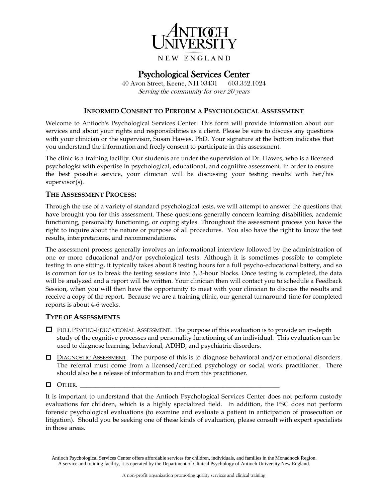

# Psychological Services Center 40 Avon Street, Keene, NH 03431 603.352.1024

Serving the community for over 20 years

## **INFORMED CONSENT TO PERFORM A PSYCHOLOGICAL ASSESSMENT**

Welcome to Antioch's Psychological Services Center. This form will provide information about our services and about your rights and responsibilities as a client. Please be sure to discuss any questions with your clinician or the supervisor, Susan Hawes, PhD. Your signature at the bottom indicates that you understand the information and freely consent to participate in this assessment.

The clinic is a training facility. Our students are under the supervision of Dr. Hawes, who is a licensed psychologist with expertise in psychological, educational, and cognitive assessment. In order to ensure the best possible service, your clinician will be discussing your testing results with her/his supervisor(s).

## **THE ASSESSMENT PROCESS:**

Through the use of a variety of standard psychological tests, we will attempt to answer the questions that have brought you for this assessment. These questions generally concern learning disabilities, academic functioning, personality functioning, or coping styles. Throughout the assessment process you have the right to inquire about the nature or purpose of all procedures. You also have the right to know the test results, interpretations, and recommendations.

The assessment process generally involves an informational interview followed by the administration of one or more educational and/or psychological tests. Although it is sometimes possible to complete testing in one sitting, it typically takes about 8 testing hours for a full psycho-educational battery, and so is common for us to break the testing sessions into 3, 3-hour blocks. Once testing is completed, the data will be analyzed and a report will be written. Your clinician then will contact you to schedule a Feedback Session, when you will then have the opportunity to meet with your clinician to discuss the results and receive a copy of the report. Because we are a training clinic, our general turnaround time for completed reports is about 4-6 weeks.

## **TYPE OF ASSESSMENTS**

- FULL PSYCHO-EDUCATIONAL ASSESSMENT. The purpose of this evaluation is to provide an in-depth study of the cognitive processes and personality functioning of an individual. This evaluation can be used to diagnose learning, behavioral, ADHD, and psychiatric disorders.
- DIAGNOSTIC ASSESSMENT. The purpose of this is to diagnose behavioral and/or emotional disorders. The referral must come from a licensed/certified psychology or social work practitioner. There should also be a release of information to and from this practitioner.

#### $\Box$  OTHER.

It is important to understand that the Antioch Psychological Services Center does not perform custody evaluations for children, which is a highly specialized field. In addition, the PSC does not perform forensic psychological evaluations (to examine and evaluate a patient in anticipation of prosecution or litigation). Should you be seeking one of these kinds of evaluation, please consult with expert specialists in those areas.

Antioch Psychological Services Center offers affordable services for children, individuals, and families in the Monadnock Region. A service and training facility, it is operated by the Department of Clinical Psychology of Antioch University New England.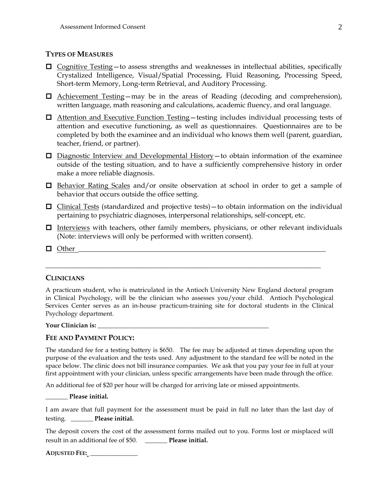# **TYPES OF MEASURES**

- $\Box$  Cognitive Testing to assess strengths and weaknesses in intellectual abilities, specifically Crystalized Intelligence, Visual/Spatial Processing, Fluid Reasoning, Processing Speed, Short-term Memory, Long-term Retrieval, and Auditory Processing.
- $\Box$  Achievement Testing—may be in the areas of Reading (decoding and comprehension), written language, math reasoning and calculations, academic fluency, and oral language.
- Attention and Executive Function Testing—testing includes individual processing tests of attention and executive functioning, as well as questionnaires. Questionnaires are to be completed by both the examinee and an individual who knows them well (parent, guardian, teacher, friend, or partner).
- $\Box$  Diagnostic Interview and Developmental History to obtain information of the examinee outside of the testing situation, and to have a sufficiently comprehensive history in order make a more reliable diagnosis.
- $\Box$  Behavior Rating Scales and/or onsite observation at school in order to get a sample of behavior that occurs outside the office setting.
- $\Box$  Clinical Tests (standardized and projective tests) to obtain information on the individual pertaining to psychiatric diagnoses, interpersonal relationships, self-concept, etc.
- $\Box$  Interviews with teachers, other family members, physicians, or other relevant individuals (Note: interviews will only be performed with written consent).
- $\Box$  Other

# **CLINICIANS**

A practicum student, who is matriculated in the Antioch University New England doctoral program in Clinical Psychology, will be the clinician who assesses you/your child. Antioch Psychological Services Center serves as an in-house practicum-training site for doctoral students in the Clinical Psychology department.

\_\_\_\_\_\_\_\_\_\_\_\_\_\_\_\_\_\_\_\_\_\_\_\_\_\_\_\_\_\_\_\_\_\_\_\_\_\_\_\_\_\_\_\_\_\_\_\_\_\_\_\_\_\_\_\_\_\_\_\_\_\_\_\_\_\_\_\_\_\_\_\_\_\_\_\_\_\_\_

#### **Your Clinician is:** \_\_\_\_\_\_\_\_\_\_\_\_\_\_\_\_\_\_\_\_\_\_\_\_\_\_\_\_\_\_\_\_\_\_\_\_\_\_\_\_\_\_\_\_\_\_\_\_\_\_\_\_\_\_

## **FEE AND PAYMENT POLICY:**

The standard fee for a testing battery is \$650. The fee may be adjusted at times depending upon the purpose of the evaluation and the tests used. Any adjustment to the standard fee will be noted in the space below. The clinic does not bill insurance companies. We ask that you pay your fee in full at your first appointment with your clinician, unless specific arrangements have been made through the office.

An additional fee of \$20 per hour will be charged for arriving late or missed appointments.

**\_\_\_\_\_\_\_ Please initial.**

I am aware that full payment for the assessment must be paid in full no later than the last day of testing. \_\_\_\_\_\_\_ **Please initial.**

The deposit covers the cost of the assessment forms mailed out to you. Forms lost or misplaced will result in an additional fee of \$50. \_\_\_\_\_\_\_ **Please initial.**

**ADJUSTED FEE:** \_\_\_\_\_\_\_\_\_\_\_\_\_\_\_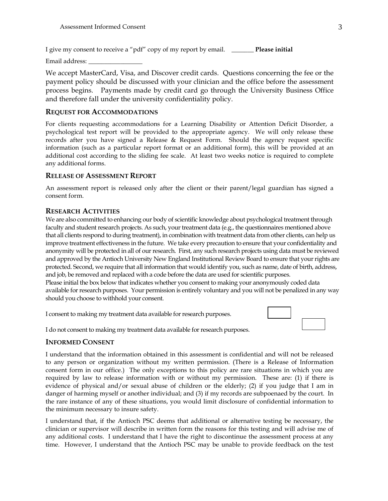I give my consent to receive a "pdf" copy of my report by email. \_\_\_\_\_\_\_ **Please initial**

Email address: \_\_\_\_\_\_\_\_\_\_\_\_\_\_\_\_\_

We accept MasterCard, Visa, and Discover credit cards. Questions concerning the fee or the payment policy should be discussed with your clinician and the office before the assessment process begins. Payments made by credit card go through the University Business Office and therefore fall under the university confidentiality policy.

#### **REQUEST FOR ACCOMMODATIONS**

For clients requesting accommodations for a Learning Disability or Attention Deficit Disorder, a psychological test report will be provided to the appropriate agency. We will only release these records after you have signed a Release & Request Form. Should the agency request specific information (such as a particular report format or an additional form), this will be provided at an additional cost according to the sliding fee scale. At least two weeks notice is required to complete any additional forms.

#### **RELEASE OF ASSESSMENT REPORT**

An assessment report is released only after the client or their parent/legal guardian has signed a consent form.

#### **RESEARCH ACTIVITIES**

We are also committed to enhancing our body of scientific knowledge about psychological treatment through faculty and student research projects. As such, your treatment data (e.g., the questionnaires mentioned above that all clients respond to during treatment), in combination with treatment data from other clients, can help us improve treatment effectiveness in the future. We take every precaution to ensure that your confidentiality and anonymity will be protected in all of our research. First, any such research projects using data must be reviewed and approved by the Antioch University New England Institutional Review Board to ensure that your rights are protected. Second, we require that all information that would identify you, such as name, date of birth, address, and job, be removed and replaced with a code before the data are used for scientific purposes. Please initial the box below that indicates whether you consent to making your anonymously coded data available for research purposes. Your permission is entirely voluntary and you will not be penalized in any way should you choose to withhold your consent.

I consent to making my treatment data available for research purposes.



I do not consent to making my treatment data available for research purposes.

#### **INFORMED CONSENT**

I understand that the information obtained in this assessment is confidential and will not be released to any person or organization without my written permission. (There is a Release of Information consent form in our office.) The only exceptions to this policy are rare situations in which you are required by law to release information with or without my permission. These are: (1) if there is evidence of physical and/or sexual abuse of children or the elderly; (2) if you judge that I am in danger of harming myself or another individual; and (3) if my records are subpoenaed by the court. In the rare instance of any of these situations, you would limit disclosure of confidential information to the minimum necessary to insure safety.

I understand that, if the Antioch PSC deems that additional or alternative testing be necessary, the clinician or supervisor will describe in written form the reasons for this testing and will advise me of any additional costs. I understand that I have the right to discontinue the assessment process at any time. However, I understand that the Antioch PSC may be unable to provide feedback on the test